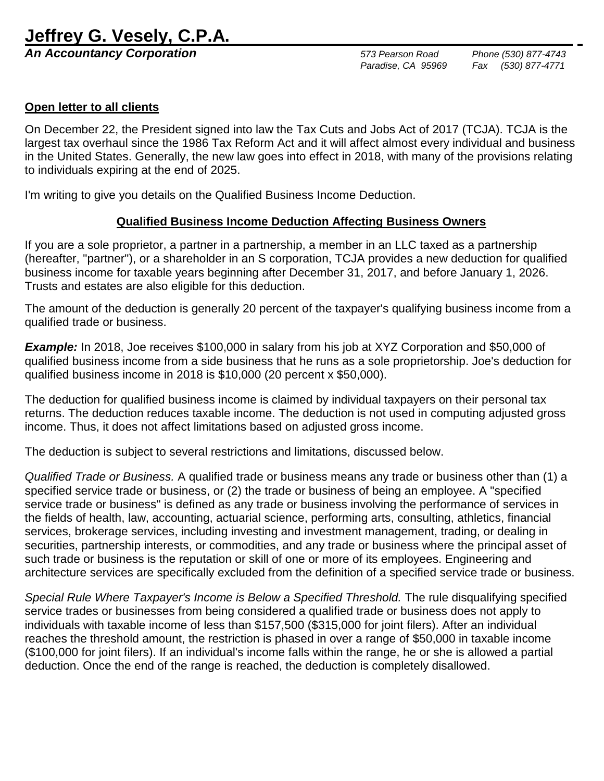*An Accountancy Corporation 573 Pearson Road Phone (530) 877-4743*

 *Paradise, CA 95969 Fax (530) 877-4771*

## **Open letter to all clients**

On December 22, the President signed into law the Tax Cuts and Jobs Act of 2017 (TCJA). TCJA is the largest tax overhaul since the 1986 Tax Reform Act and it will affect almost every individual and business in the United States. Generally, the new law goes into effect in 2018, with many of the provisions relating to individuals expiring at the end of 2025.

I'm writing to give you details on the Qualified Business Income Deduction.

## **Qualified Business Income Deduction Affecting Business Owners**

If you are a sole proprietor, a partner in a partnership, a member in an LLC taxed as a partnership (hereafter, "partner"), or a shareholder in an S corporation, TCJA provides a new deduction for qualified business income for taxable years beginning after December 31, 2017, and before January 1, 2026. Trusts and estates are also eligible for this deduction.

The amount of the deduction is generally 20 percent of the taxpayer's qualifying business income from a qualified trade or business.

**Example:** In 2018, Joe receives \$100,000 in salary from his job at XYZ Corporation and \$50,000 of qualified business income from a side business that he runs as a sole proprietorship. Joe's deduction for qualified business income in 2018 is \$10,000 (20 percent x \$50,000).

The deduction for qualified business income is claimed by individual taxpayers on their personal tax returns. The deduction reduces taxable income. The deduction is not used in computing adjusted gross income. Thus, it does not affect limitations based on adjusted gross income.

The deduction is subject to several restrictions and limitations, discussed below.

*Qualified Trade or Business.* A qualified trade or business means any trade or business other than (1) a specified service trade or business, or (2) the trade or business of being an employee. A "specified service trade or business" is defined as any trade or business involving the performance of services in the fields of health, law, accounting, actuarial science, performing arts, consulting, athletics, financial services, brokerage services, including investing and investment management, trading, or dealing in securities, partnership interests, or commodities, and any trade or business where the principal asset of such trade or business is the reputation or skill of one or more of its employees. Engineering and architecture services are specifically excluded from the definition of a specified service trade or business.

*Special Rule Where Taxpayer's Income is Below a Specified Threshold.* The rule disqualifying specified service trades or businesses from being considered a qualified trade or business does not apply to individuals with taxable income of less than \$157,500 (\$315,000 for joint filers). After an individual reaches the threshold amount, the restriction is phased in over a range of \$50,000 in taxable income (\$100,000 for joint filers). If an individual's income falls within the range, he or she is allowed a partial deduction. Once the end of the range is reached, the deduction is completely disallowed.